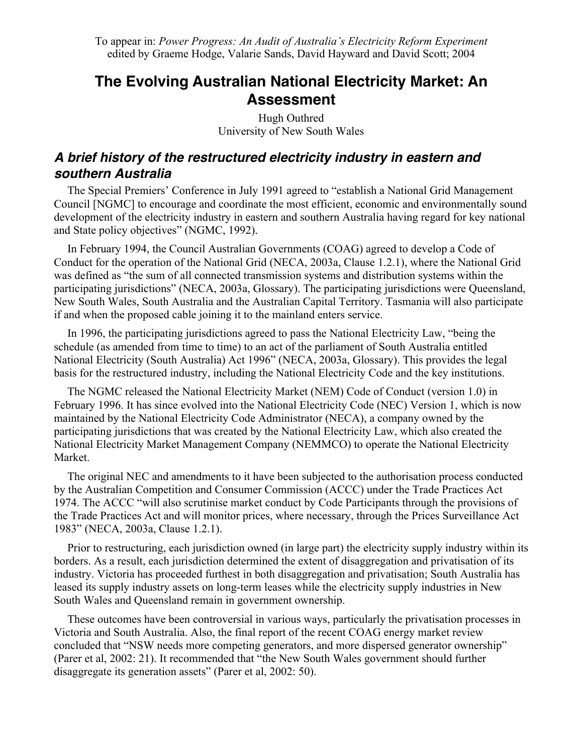# **The Evolving Australian National Electricity Market: An Assessment**

Hugh Outhred University of New South Wales

## **A brief history of the restructured electricity industry in eastern and southern Australia**

The Special Premiers' Conference in July 1991 agreed to "establish a National Grid Management Council [NGMC] to encourage and coordinate the most efficient, economic and environmentally sound development of the electricity industry in eastern and southern Australia having regard for key national and State policy objectives" (NGMC, 1992).

In February 1994, the Council Australian Governments (COAG) agreed to develop a Code of Conduct for the operation of the National Grid (NECA, 2003a, Clause 1.2.1), where the National Grid was defined as "the sum of all connected transmission systems and distribution systems within the participating jurisdictions" (NECA, 2003a, Glossary). The participating jurisdictions were Queensland, New South Wales, South Australia and the Australian Capital Territory. Tasmania will also participate if and when the proposed cable joining it to the mainland enters service.

In 1996, the participating jurisdictions agreed to pass the National Electricity Law, "being the schedule (as amended from time to time) to an act of the parliament of South Australia entitled National Electricity (South Australia) Act 1996" (NECA, 2003a, Glossary). This provides the legal basis for the restructured industry, including the National Electricity Code and the key institutions.

The NGMC released the National Electricity Market (NEM) Code of Conduct (version 1.0) in February 1996. It has since evolved into the National Electricity Code (NEC) Version 1, which is now maintained by the National Electricity Code Administrator (NECA), a company owned by the participating jurisdictions that was created by the National Electricity Law, which also created the National Electricity Market Management Company (NEMMCO) to operate the National Electricity Market.

The original NEC and amendments to it have been subjected to the authorisation process conducted by the Australian Competition and Consumer Commission (ACCC) under the Trade Practices Act 1974. The ACCC "will also scrutinise market conduct by Code Participants through the provisions of the Trade Practices Act and will monitor prices, where necessary, through the Prices Surveillance Act 1983" (NECA, 2003a, Clause 1.2.1).

Prior to restructuring, each jurisdiction owned (in large part) the electricity supply industry within its borders. As a result, each jurisdiction determined the extent of disaggregation and privatisation of its industry. Victoria has proceeded furthest in both disaggregation and privatisation; South Australia has leased its supply industry assets on long-term leases while the electricity supply industries in New South Wales and Queensland remain in government ownership.

These outcomes have been controversial in various ways, particularly the privatisation processes in Victoria and South Australia. Also, the final report of the recent COAG energy market review concluded that "NSW needs more competing generators, and more dispersed generator ownership" (Parer et al, 2002: 21). It recommended that "the New South Wales government should further disaggregate its generation assets" (Parer et al, 2002: 50).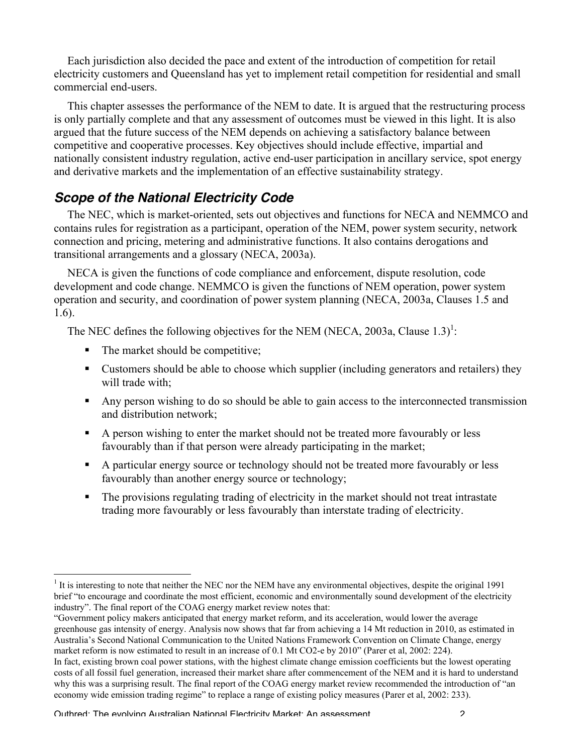Each jurisdiction also decided the pace and extent of the introduction of competition for retail electricity customers and Queensland has yet to implement retail competition for residential and small commercial end-users.

This chapter assesses the performance of the NEM to date. It is argued that the restructuring process is only partially complete and that any assessment of outcomes must be viewed in this light. It is also argued that the future success of the NEM depends on achieving a satisfactory balance between competitive and cooperative processes. Key objectives should include effective, impartial and nationally consistent industry regulation, active end-user participation in ancillary service, spot energy and derivative markets and the implementation of an effective sustainability strategy.

# **Scope of the National Electricity Code**

The NEC, which is market-oriented, sets out objectives and functions for NECA and NEMMCO and contains rules for registration as a participant, operation of the NEM, power system security, network connection and pricing, metering and administrative functions. It also contains derogations and transitional arrangements and a glossary (NECA, 2003a).

NECA is given the functions of code compliance and enforcement, dispute resolution, code development and code change. NEMMCO is given the functions of NEM operation, power system operation and security, and coordination of power system planning (NECA, 2003a, Clauses 1.5 and 1.6).

The NEC defines the following objectives for the NEM (NECA, 2003a, Clause 1.3)<sup>1</sup>:

- $\blacksquare$  The market should be competitive;
- Customers should be able to choose which supplier (including generators and retailers) they will trade with;
- Any person wishing to do so should be able to gain access to the interconnected transmission and distribution network;
- A person wishing to enter the market should not be treated more favourably or less favourably than if that person were already participating in the market;
- A particular energy source or technology should not be treated more favourably or less favourably than another energy source or technology;
- The provisions regulating trading of electricity in the market should not treat intrastate trading more favourably or less favourably than interstate trading of electricity.

 $\frac{1}{1}$ It is interesting to note that neither the NEC nor the NEM have any environmental objectives, despite the original 1991 brief "to encourage and coordinate the most efficient, economic and environmentally sound development of the electricity industry". The final report of the COAG energy market review notes that:

<sup>&</sup>quot;Government policy makers anticipated that energy market reform, and its acceleration, would lower the average greenhouse gas intensity of energy. Analysis now shows that far from achieving a 14 Mt reduction in 2010, as estimated in Australia's Second National Communication to the United Nations Framework Convention on Climate Change, energy market reform is now estimated to result in an increase of 0.1 Mt CO2-e by 2010" (Parer et al, 2002: 224). In fact, existing brown coal power stations, with the highest climate change emission coefficients but the lowest operating

costs of all fossil fuel generation, increased their market share after commencement of the NEM and it is hard to understand why this was a surprising result. The final report of the COAG energy market review recommended the introduction of "an economy wide emission trading regime" to replace a range of existing policy measures (Parer et al, 2002: 233).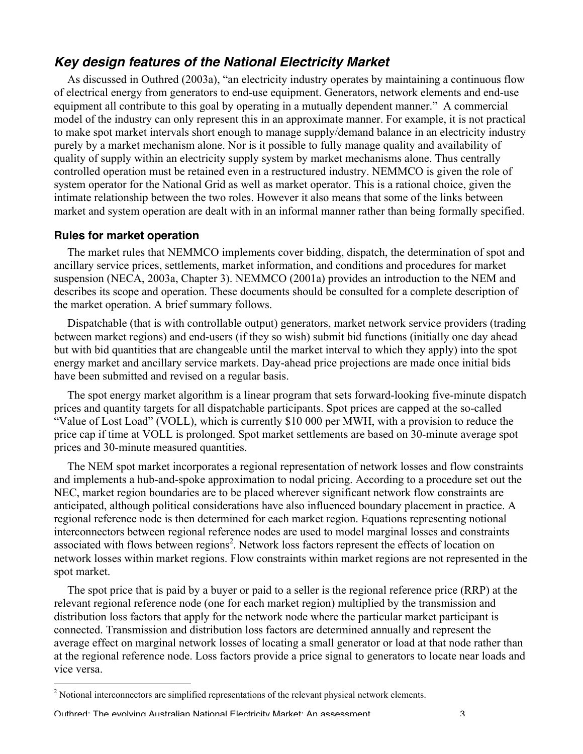## **Key design features of the National Electricity Market**

As discussed in Outhred (2003a), "an electricity industry operates by maintaining a continuous flow of electrical energy from generators to end-use equipment. Generators, network elements and end-use equipment all contribute to this goal by operating in a mutually dependent manner." A commercial model of the industry can only represent this in an approximate manner. For example, it is not practical to make spot market intervals short enough to manage supply/demand balance in an electricity industry purely by a market mechanism alone. Nor is it possible to fully manage quality and availability of quality of supply within an electricity supply system by market mechanisms alone. Thus centrally controlled operation must be retained even in a restructured industry. NEMMCO is given the role of system operator for the National Grid as well as market operator. This is a rational choice, given the intimate relationship between the two roles. However it also means that some of the links between market and system operation are dealt with in an informal manner rather than being formally specified.

#### **Rules for market operation**

The market rules that NEMMCO implements cover bidding, dispatch, the determination of spot and ancillary service prices, settlements, market information, and conditions and procedures for market suspension (NECA, 2003a, Chapter 3). NEMMCO (2001a) provides an introduction to the NEM and describes its scope and operation. These documents should be consulted for a complete description of the market operation. A brief summary follows.

Dispatchable (that is with controllable output) generators, market network service providers (trading between market regions) and end-users (if they so wish) submit bid functions (initially one day ahead but with bid quantities that are changeable until the market interval to which they apply) into the spot energy market and ancillary service markets. Day-ahead price projections are made once initial bids have been submitted and revised on a regular basis.

The spot energy market algorithm is a linear program that sets forward-looking five-minute dispatch prices and quantity targets for all dispatchable participants. Spot prices are capped at the so-called "Value of Lost Load" (VOLL), which is currently \$10 000 per MWH, with a provision to reduce the price cap if time at VOLL is prolonged. Spot market settlements are based on 30-minute average spot prices and 30-minute measured quantities.

The NEM spot market incorporates a regional representation of network losses and flow constraints and implements a hub-and-spoke approximation to nodal pricing. According to a procedure set out the NEC, market region boundaries are to be placed wherever significant network flow constraints are anticipated, although political considerations have also influenced boundary placement in practice. A regional reference node is then determined for each market region. Equations representing notional interconnectors between regional reference nodes are used to model marginal losses and constraints associated with flows between regions<sup>2</sup>. Network loss factors represent the effects of location on network losses within market regions. Flow constraints within market regions are not represented in the spot market.

The spot price that is paid by a buyer or paid to a seller is the regional reference price (RRP) at the relevant regional reference node (one for each market region) multiplied by the transmission and distribution loss factors that apply for the network node where the particular market participant is connected. Transmission and distribution loss factors are determined annually and represent the average effect on marginal network losses of locating a small generator or load at that node rather than at the regional reference node. Loss factors provide a price signal to generators to locate near loads and vice versa.

 $\frac{1}{2}$ <sup>2</sup> Notional interconnectors are simplified representations of the relevant physical network elements.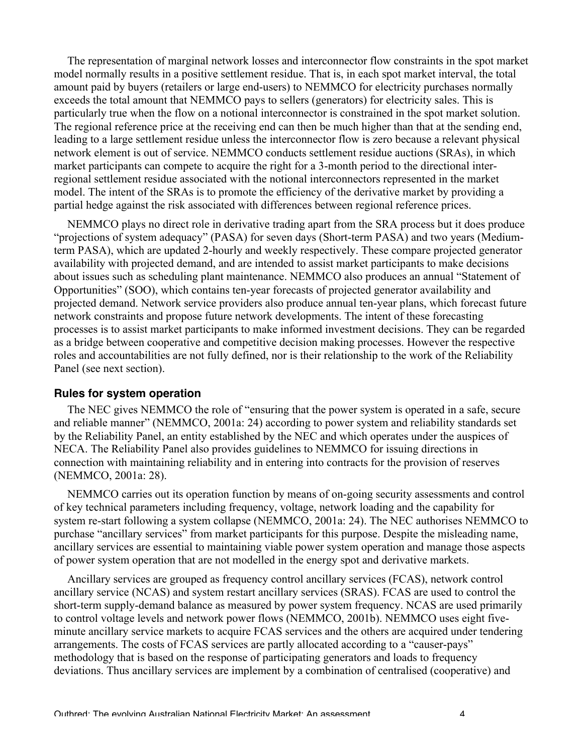The representation of marginal network losses and interconnector flow constraints in the spot market model normally results in a positive settlement residue. That is, in each spot market interval, the total amount paid by buyers (retailers or large end-users) to NEMMCO for electricity purchases normally exceeds the total amount that NEMMCO pays to sellers (generators) for electricity sales. This is particularly true when the flow on a notional interconnector is constrained in the spot market solution. The regional reference price at the receiving end can then be much higher than that at the sending end, leading to a large settlement residue unless the interconnector flow is zero because a relevant physical network element is out of service. NEMMCO conducts settlement residue auctions (SRAs), in which market participants can compete to acquire the right for a 3-month period to the directional interregional settlement residue associated with the notional interconnectors represented in the market model. The intent of the SRAs is to promote the efficiency of the derivative market by providing a partial hedge against the risk associated with differences between regional reference prices.

NEMMCO plays no direct role in derivative trading apart from the SRA process but it does produce "projections of system adequacy" (PASA) for seven days (Short-term PASA) and two years (Mediumterm PASA), which are updated 2-hourly and weekly respectively. These compare projected generator availability with projected demand, and are intended to assist market participants to make decisions about issues such as scheduling plant maintenance. NEMMCO also produces an annual "Statement of Opportunities" (SOO), which contains ten-year forecasts of projected generator availability and projected demand. Network service providers also produce annual ten-year plans, which forecast future network constraints and propose future network developments. The intent of these forecasting processes is to assist market participants to make informed investment decisions. They can be regarded as a bridge between cooperative and competitive decision making processes. However the respective roles and accountabilities are not fully defined, nor is their relationship to the work of the Reliability Panel (see next section).

#### **Rules for system operation**

The NEC gives NEMMCO the role of "ensuring that the power system is operated in a safe, secure and reliable manner" (NEMMCO, 2001a: 24) according to power system and reliability standards set by the Reliability Panel, an entity established by the NEC and which operates under the auspices of NECA. The Reliability Panel also provides guidelines to NEMMCO for issuing directions in connection with maintaining reliability and in entering into contracts for the provision of reserves (NEMMCO, 2001a: 28).

NEMMCO carries out its operation function by means of on-going security assessments and control of key technical parameters including frequency, voltage, network loading and the capability for system re-start following a system collapse (NEMMCO, 2001a: 24). The NEC authorises NEMMCO to purchase "ancillary services" from market participants for this purpose. Despite the misleading name, ancillary services are essential to maintaining viable power system operation and manage those aspects of power system operation that are not modelled in the energy spot and derivative markets.

Ancillary services are grouped as frequency control ancillary services (FCAS), network control ancillary service (NCAS) and system restart ancillary services (SRAS). FCAS are used to control the short-term supply-demand balance as measured by power system frequency. NCAS are used primarily to control voltage levels and network power flows (NEMMCO, 2001b). NEMMCO uses eight fiveminute ancillary service markets to acquire FCAS services and the others are acquired under tendering arrangements. The costs of FCAS services are partly allocated according to a "causer-pays" methodology that is based on the response of participating generators and loads to frequency deviations. Thus ancillary services are implement by a combination of centralised (cooperative) and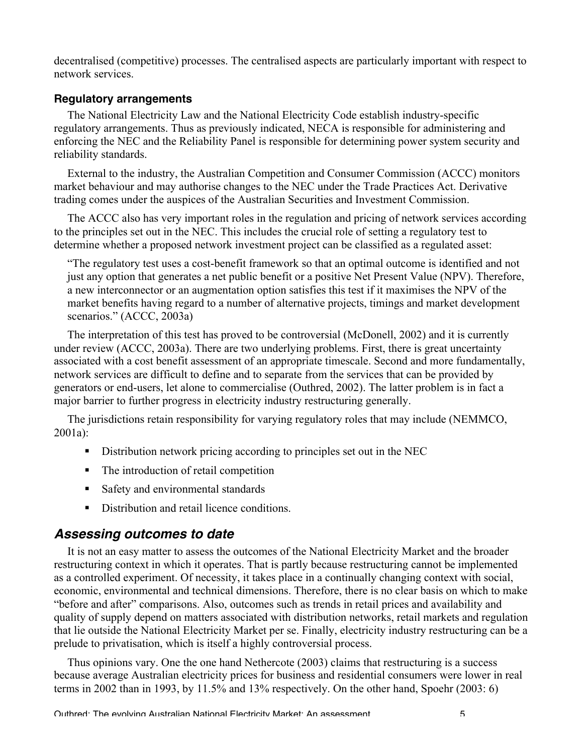decentralised (competitive) processes. The centralised aspects are particularly important with respect to network services.

#### **Regulatory arrangements**

The National Electricity Law and the National Electricity Code establish industry-specific regulatory arrangements. Thus as previously indicated, NECA is responsible for administering and enforcing the NEC and the Reliability Panel is responsible for determining power system security and reliability standards.

External to the industry, the Australian Competition and Consumer Commission (ACCC) monitors market behaviour and may authorise changes to the NEC under the Trade Practices Act. Derivative trading comes under the auspices of the Australian Securities and Investment Commission.

The ACCC also has very important roles in the regulation and pricing of network services according to the principles set out in the NEC. This includes the crucial role of setting a regulatory test to determine whether a proposed network investment project can be classified as a regulated asset:

"The regulatory test uses a cost-benefit framework so that an optimal outcome is identified and not just any option that generates a net public benefit or a positive Net Present Value (NPV). Therefore, a new interconnector or an augmentation option satisfies this test if it maximises the NPV of the market benefits having regard to a number of alternative projects, timings and market development scenarios." (ACCC, 2003a)

The interpretation of this test has proved to be controversial (McDonell, 2002) and it is currently under review (ACCC, 2003a). There are two underlying problems. First, there is great uncertainty associated with a cost benefit assessment of an appropriate timescale. Second and more fundamentally, network services are difficult to define and to separate from the services that can be provided by generators or end-users, let alone to commercialise (Outhred, 2002). The latter problem is in fact a major barrier to further progress in electricity industry restructuring generally.

The jurisdictions retain responsibility for varying regulatory roles that may include (NEMMCO, 2001a):

- Distribution network pricing according to principles set out in the NEC
- The introduction of retail competition
- Safety and environmental standards
- Distribution and retail licence conditions.

### **Assessing outcomes to date**

It is not an easy matter to assess the outcomes of the National Electricity Market and the broader restructuring context in which it operates. That is partly because restructuring cannot be implemented as a controlled experiment. Of necessity, it takes place in a continually changing context with social, economic, environmental and technical dimensions. Therefore, there is no clear basis on which to make "before and after" comparisons. Also, outcomes such as trends in retail prices and availability and quality of supply depend on matters associated with distribution networks, retail markets and regulation that lie outside the National Electricity Market per se. Finally, electricity industry restructuring can be a prelude to privatisation, which is itself a highly controversial process.

Thus opinions vary. One the one hand Nethercote (2003) claims that restructuring is a success because average Australian electricity prices for business and residential consumers were lower in real terms in 2002 than in 1993, by 11.5% and 13% respectively. On the other hand, Spoehr (2003: 6)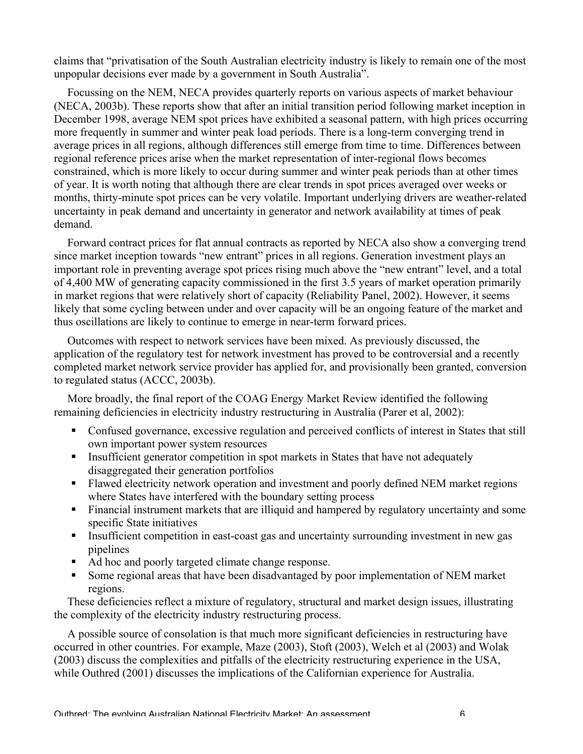claims that "privatisation of the South Australian electricity industry is likely to remain one of the most unpopular decisions ever made by a government in South Australia".

Focussing on the NEM, NECA provides quarterly reports on various aspects of market behaviour (NECA, 2003b). These reports show that after an initial transition period following market inception in December 1998, average NEM spot prices have exhibited a seasonal pattern, with high prices occurring more frequently in summer and winter peak load periods. There is a long-term converging trend in average prices in all regions, although differences still emerge from time to time. Differences between regional reference prices arise when the market representation of inter-regional flows becomes constrained, which is more likely to occur during summer and winter peak periods than at other times of year. It is worth noting that although there are clear trends in spot prices averaged over weeks or months, thirty-minute spot prices can be very volatile. Important underlying drivers are weather-related uncertainty in peak demand and uncertainty in generator and network availability at times of peak demand.

Forward contract prices for flat annual contracts as reported by NECA also show a converging trend since market inception towards "new entrant" prices in all regions. Generation investment plays an important role in preventing average spot prices rising much above the "new entrant" level, and a total of 4,400 MW of generating capacity commissioned in the first 3.5 years of market operation primarily in market regions that were relatively short of capacity (Reliability Panel, 2002). However, it seems likely that some cycling between under and over capacity will be an ongoing feature of the market and thus oscillations are likely to continue to emerge in near-term forward prices.

Outcomes with respect to network services have been mixed. As previously discussed, the application of the regulatory test for network investment has proved to be controversial and a recently completed market network service provider has applied for, and provisionally been granted, conversion to regulated status (ACCC, 2003b).

More broadly, the final report of the COAG Energy Market Review identified the following remaining deficiencies in electricity industry restructuring in Australia (Parer et al, 2002):

- Confused governance, excessive regulation and perceived conflicts of interest in States that still own important power system resources
- Insufficient generator competition in spot markets in States that have not adequately disaggregated their generation portfolios
- Flawed electricity network operation and investment and poorly defined NEM market regions where States have interfered with the boundary setting process
- Financial instrument markets that are illiquid and hampered by regulatory uncertainty and some specific State initiatives
- Insufficient competition in east-coast gas and uncertainty surrounding investment in new gas pipelines
- Ad hoc and poorly targeted climate change response.
- Some regional areas that have been disadvantaged by poor implementation of NEM market regions.

These deficiencies reflect a mixture of regulatory, structural and market design issues, illustrating the complexity of the electricity industry restructuring process.

A possible source of consolation is that much more significant deficiencies in restructuring have occurred in other countries. For example, Maze (2003), Stoft (2003), Welch et al (2003) and Wolak (2003) discuss the complexities and pitfalls of the electricity restructuring experience in the USA, while Outhred (2001) discusses the implications of the Californian experience for Australia.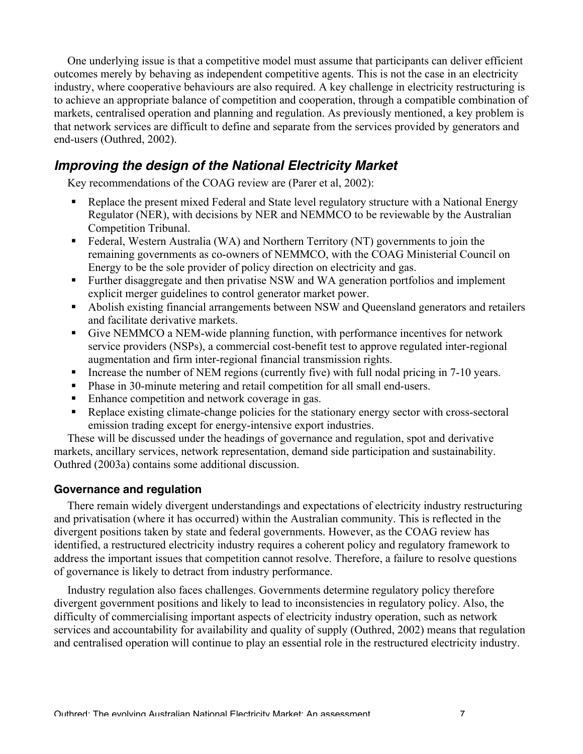One underlying issue is that a competitive model must assume that participants can deliver efficient outcomes merely by behaving as independent competitive agents. This is not the case in an electricity industry, where cooperative behaviours are also required. A key challenge in electricity restructuring is to achieve an appropriate balance of competition and cooperation, through a compatible combination of markets, centralised operation and planning and regulation. As previously mentioned, a key problem is that network services are difficult to define and separate from the services provided by generators and end-users (Outhred, 2002).

### **Improving the design of the National Electricity Market**

Key recommendations of the COAG review are (Parer et al, 2002):

- Replace the present mixed Federal and State level regulatory structure with a National Energy Regulator (NER), with decisions by NER and NEMMCO to be reviewable by the Australian Competition Tribunal.
- Federal, Western Australia (WA) and Northern Territory (NT) governments to join the remaining governments as co-owners of NEMMCO, with the COAG Ministerial Council on Energy to be the sole provider of policy direction on electricity and gas.
- Further disaggregate and then privatise NSW and WA generation portfolios and implement explicit merger guidelines to control generator market power.
- Abolish existing financial arrangements between NSW and Queensland generators and retailers and facilitate derivative markets.
- Give NEMMCO a NEM-wide planning function, with performance incentives for network service providers (NSPs), a commercial cost-benefit test to approve regulated inter-regional augmentation and firm inter-regional financial transmission rights.
- Increase the number of NEM regions (currently five) with full nodal pricing in 7-10 years.
- Phase in 30-minute metering and retail competition for all small end-users.
- Enhance competition and network coverage in gas.
- Replace existing climate-change policies for the stationary energy sector with cross-sectoral emission trading except for energy-intensive export industries.

These will be discussed under the headings of governance and regulation, spot and derivative markets, ancillary services, network representation, demand side participation and sustainability. Outhred (2003a) contains some additional discussion.

#### **Governance and regulation**

There remain widely divergent understandings and expectations of electricity industry restructuring and privatisation (where it has occurred) within the Australian community. This is reflected in the divergent positions taken by state and federal governments. However, as the COAG review has identified, a restructured electricity industry requires a coherent policy and regulatory framework to address the important issues that competition cannot resolve. Therefore, a failure to resolve questions of governance is likely to detract from industry performance.

Industry regulation also faces challenges. Governments determine regulatory policy therefore divergent government positions and likely to lead to inconsistencies in regulatory policy. Also, the difficulty of commercialising important aspects of electricity industry operation, such as network services and accountability for availability and quality of supply (Outhred, 2002) means that regulation and centralised operation will continue to play an essential role in the restructured electricity industry.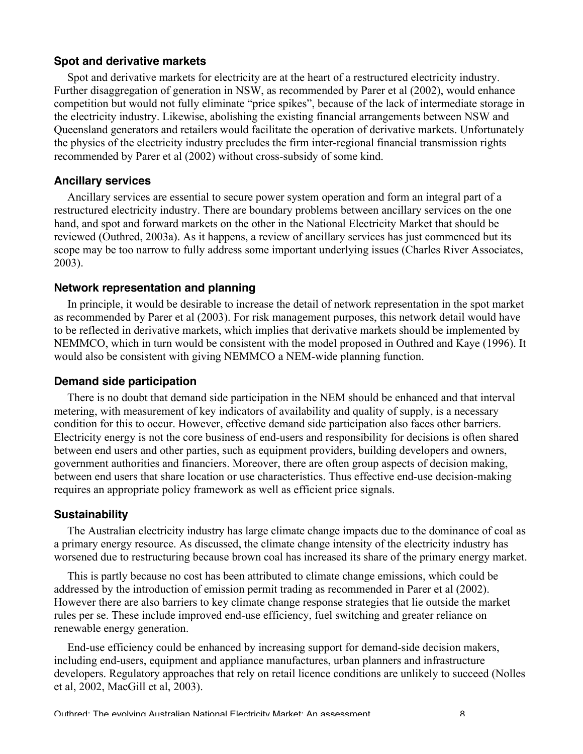#### **Spot and derivative markets**

Spot and derivative markets for electricity are at the heart of a restructured electricity industry. Further disaggregation of generation in NSW, as recommended by Parer et al (2002), would enhance competition but would not fully eliminate "price spikes", because of the lack of intermediate storage in the electricity industry. Likewise, abolishing the existing financial arrangements between NSW and Queensland generators and retailers would facilitate the operation of derivative markets. Unfortunately the physics of the electricity industry precludes the firm inter-regional financial transmission rights recommended by Parer et al (2002) without cross-subsidy of some kind.

#### **Ancillary services**

Ancillary services are essential to secure power system operation and form an integral part of a restructured electricity industry. There are boundary problems between ancillary services on the one hand, and spot and forward markets on the other in the National Electricity Market that should be reviewed (Outhred, 2003a). As it happens, a review of ancillary services has just commenced but its scope may be too narrow to fully address some important underlying issues (Charles River Associates, 2003).

#### **Network representation and planning**

In principle, it would be desirable to increase the detail of network representation in the spot market as recommended by Parer et al (2003). For risk management purposes, this network detail would have to be reflected in derivative markets, which implies that derivative markets should be implemented by NEMMCO, which in turn would be consistent with the model proposed in Outhred and Kaye (1996). It would also be consistent with giving NEMMCO a NEM-wide planning function.

#### **Demand side participation**

There is no doubt that demand side participation in the NEM should be enhanced and that interval metering, with measurement of key indicators of availability and quality of supply, is a necessary condition for this to occur. However, effective demand side participation also faces other barriers. Electricity energy is not the core business of end-users and responsibility for decisions is often shared between end users and other parties, such as equipment providers, building developers and owners, government authorities and financiers. Moreover, there are often group aspects of decision making, between end users that share location or use characteristics. Thus effective end-use decision-making requires an appropriate policy framework as well as efficient price signals.

#### **Sustainability**

The Australian electricity industry has large climate change impacts due to the dominance of coal as a primary energy resource. As discussed, the climate change intensity of the electricity industry has worsened due to restructuring because brown coal has increased its share of the primary energy market.

This is partly because no cost has been attributed to climate change emissions, which could be addressed by the introduction of emission permit trading as recommended in Parer et al (2002). However there are also barriers to key climate change response strategies that lie outside the market rules per se. These include improved end-use efficiency, fuel switching and greater reliance on renewable energy generation.

End-use efficiency could be enhanced by increasing support for demand-side decision makers, including end-users, equipment and appliance manufactures, urban planners and infrastructure developers. Regulatory approaches that rely on retail licence conditions are unlikely to succeed (Nolles et al, 2002, MacGill et al, 2003).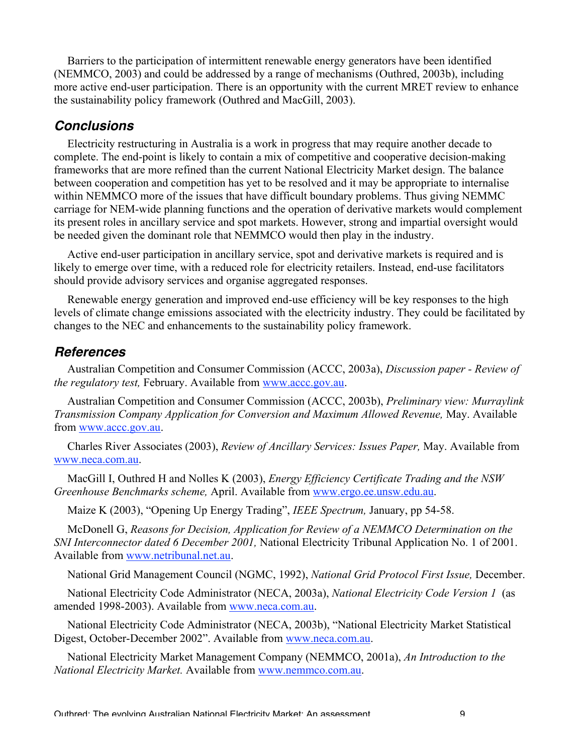Barriers to the participation of intermittent renewable energy generators have been identified (NEMMCO, 2003) and could be addressed by a range of mechanisms (Outhred, 2003b), including more active end-user participation. There is an opportunity with the current MRET review to enhance the sustainability policy framework (Outhred and MacGill, 2003).

### **Conclusions**

Electricity restructuring in Australia is a work in progress that may require another decade to complete. The end-point is likely to contain a mix of competitive and cooperative decision-making frameworks that are more refined than the current National Electricity Market design. The balance between cooperation and competition has yet to be resolved and it may be appropriate to internalise within NEMMCO more of the issues that have difficult boundary problems. Thus giving NEMMC carriage for NEM-wide planning functions and the operation of derivative markets would complement its present roles in ancillary service and spot markets. However, strong and impartial oversight would be needed given the dominant role that NEMMCO would then play in the industry.

Active end-user participation in ancillary service, spot and derivative markets is required and is likely to emerge over time, with a reduced role for electricity retailers. Instead, end-use facilitators should provide advisory services and organise aggregated responses.

Renewable energy generation and improved end-use efficiency will be key responses to the high levels of climate change emissions associated with the electricity industry. They could be facilitated by changes to the NEC and enhancements to the sustainability policy framework.

### **References**

Australian Competition and Consumer Commission (ACCC, 2003a), *Discussion paper - Review of the regulatory test,* February. Available from www.accc.gov.au.

Australian Competition and Consumer Commission (ACCC, 2003b), *Preliminary view: Murraylink Transmission Company Application for Conversion and Maximum Allowed Revenue,* May. Available from www.accc.gov.au.

Charles River Associates (2003), *Review of Ancillary Services: Issues Paper,* May. Available from www.neca.com.au.

MacGill I, Outhred H and Nolles K (2003), *Energy Efficiency Certificate Trading and the NSW Greenhouse Benchmarks scheme,* April. Available from www.ergo.ee.unsw.edu.au.

Maize K (2003), "Opening Up Energy Trading", *IEEE Spectrum,* January, pp 54-58.

McDonell G, *Reasons for Decision, Application for Review of a NEMMCO Determination on the SNI Interconnector dated 6 December 2001,* National Electricity Tribunal Application No. 1 of 2001. Available from www.netribunal.net.au.

National Grid Management Council (NGMC, 1992), *National Grid Protocol First Issue,* December.

National Electricity Code Administrator (NECA, 2003a), *National Electricity Code Version 1* (as amended 1998-2003). Available from www.neca.com.au.

National Electricity Code Administrator (NECA, 2003b), "National Electricity Market Statistical Digest, October-December 2002". Available from www.neca.com.au.

National Electricity Market Management Company (NEMMCO, 2001a), *An Introduction to the National Electricity Market.* Available from www.nemmco.com.au.